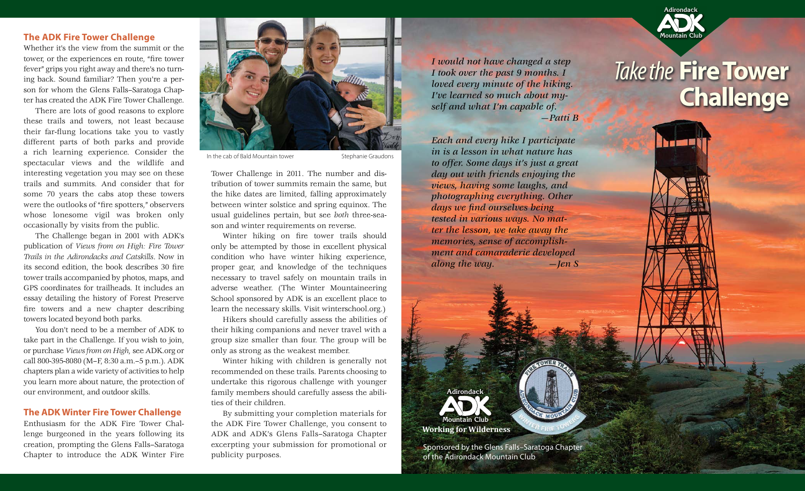#### **The ADK Fire Tower Challenge**

Whether it's the view from the summit or the tower, or the experiences en route, "fire tower fever" grips you right away and there's no turning back. Sound familiar? Then you're a person for whom the Glens Falls–Saratoga Chapter has created the ADK Fire Tower Challenge.

There are lots of good reasons to explore these trails and towers, not least because their far-flung locations take you to vastly different parts of both parks and provide a rich learning experience. Consider the spectacular views and the wildlife and interesting vegetation you may see on these trails and summits. And consider that for some 70 years the cabs atop these towers were the outlooks of "fire spotters," observers whose lonesome vigil was broken only occasionally by visits from the public.

The Challenge began in 2001 with ADK's publication of *Views from on High: Fire Tower Trails in the Adirondacks and Catskills*. Now in its second edition, the book describes 30 fire tower trails accompanied by photos, maps, and GPS coordinates for trailheads. It includes an essay detailing the history of Forest Preserve fire towers and a new chapter describing towers located beyond both parks.

You don't need to be a member of ADK to take part in the Challenge. If you wish to join, or purchase *Views from on High,* see ADK.org or call 800-395-8080 (M–F, 8:30 a.m.–5 p.m.). ADK chapters plan a wide variety of activities to help you learn more about nature, the protection of our environment, and outdoor skills.

#### **The ADK Winter Fire Tower Challenge**

Enthusiasm for the ADK Fire Tower Challenge burgeoned in the years following its creation, prompting the Glens Falls–Saratoga Chapter to introduce the ADK Winter Fire



In the cab of Bald Mountain tower Stephanie Graudons

Tower Challenge in 2011. The number and distribution of tower summits remain the same, but the hike dates are limited, falling approximately between winter solstice and spring equinox. The usual guidelines pertain, but see *both* three-season and winter requirements on reverse.

Winter hiking on fire tower trails should only be attempted by those in excellent physical condition who have winter hiking experience, proper gear, and knowledge of the techniques necessary to travel safely on mountain trails in adverse weather. (The Winter Mountaineering School sponsored by ADK is an excellent place to learn the necessary skills. Visit winterschool.org.)

Hikers should carefully assess the abilities of their hiking companions and never travel with a group size smaller than four. The group will be only as strong as the weakest member.

Winter hiking with children is generally not recommended on these trails. Parents choosing to undertake this rigorous challenge with younger family members should carefully assess the abilities of their children.

By submitting your completion materials for the ADK Fire Tower Challenge, you consent to ADK and ADK's Glens Falls–Saratoga Chapter excerpting your submission for promotional or publicity purposes.

*I* would not have changed a step<br>*I* took over the past 9 months. I **Interpret is a Take the** *I took over the past 9 months. I loved every minute of the hiking. I've learned so much about myself and what I'm capable of. —Patti B*

*Each and every hike I participate in is a lesson in what nature has to offer. Some days it's just a great day out with friends enjoying the views, having some laughs, and photographing everything. Other days we find ourselves being tested in various ways. No matter the lesson, we take away the memories, sense of accomplishment and camaraderie developed along the way. —Jen S*



Sponsored by the Glens Falls–Saratoga Chapter of the Adirondack Mountain Club



**Adirondack**

**Mountain Club**